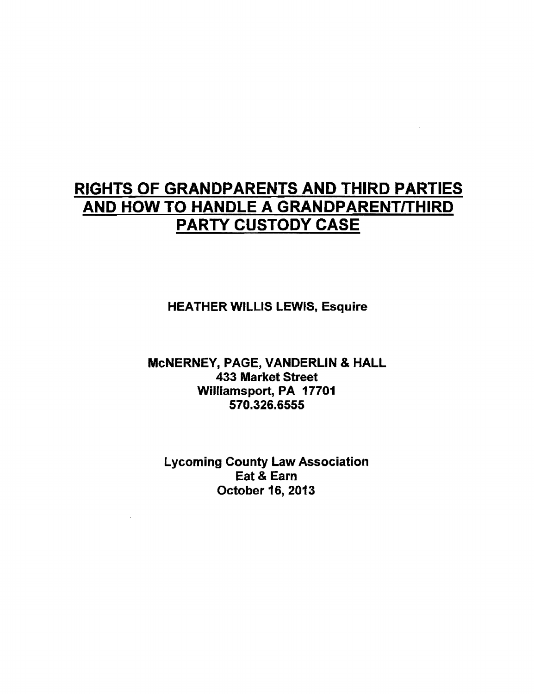# RIGHTS OF GRANDPARENTS AND THIRD PARTIES AND HOW TO HANDLE A GRANDPARENT/THIRD PARTY CUSTODY CASE

HEATHER WILLIS LEWIS, Esquire

## McNERNEY, PAGE, VANDERLIN & HALL 433 Market Street Williamsport, PA 17701 570.326.6555

Lycoming County Law Association Eat & Earn October 16, 2013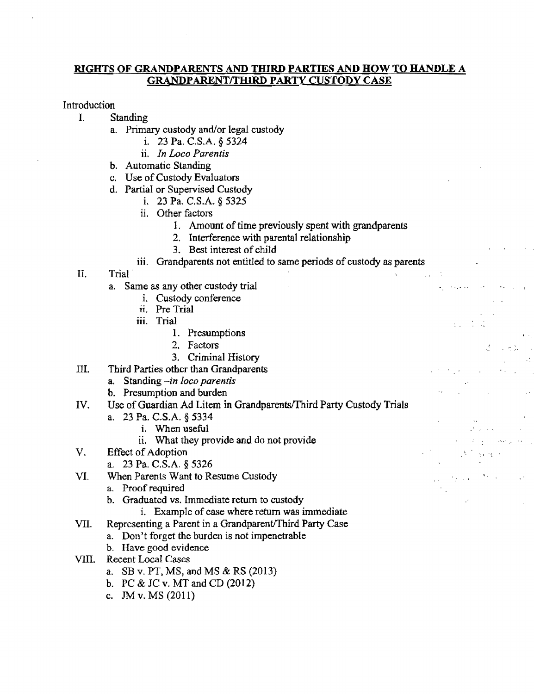## RIGHTS OF GRANDPARENTS AND THIRD PARTIES AND BOW TO HANDLE A GRANDPARENT/THIRD PARTY CUSTODY CASE

### Introduction

- I. Standing
	- a. Primary custody and/or legal custody
		- i. 23 Pa. C.S.A. § 5324
		- ii. *In Loco Parentis*
	- b. Automatic Standing
	- c. Use of Custody Evaluators
	- d. Partial or Supervised Custody
		- i. 23 Pa. C.S.A. § 5325
		- ii. Other factors
			- 1. Amount of time previously spent with grandparents
			- 2. Interference with parental relationship
			- 3. Best interest of child
		- iii. Grandparents not entitled to same periods of custody as parents

. ', .. ,

 $1.7 - 1.7$ 

 $\Delta \sim$ 

- II. Trial·
	- a. Same as any other custody trial
		- i. Custody conference
		- ii. Pre Trial
		- iii. Trial
			- 1. Presumptions
			- 2. Factors
			- 3. Criminal History
- III. Third Parties other than Grandparents
	- a. Standing *-in loco parentis*
	- h. Presumption and burden
- IV. Use of Guardian Ad Litem in Grandparents/Third Party Custody Trials
	- a. 23 Pa. C.S.A. § 5334
		- i. When useful
		- ii. What they provide and do not provide
- V. Effect of Adoption
	- a. 23 Pa. C.S.A. § 5326
- VI. When Parents Want to Resume Custody
	- a. Proof required
	- b. Graduated vs. Immediate return to custody
		- i. Example of case where return was immediate
- VII. Representing a Parent in a Grandparent/Third Party Case
	- a. Don't forget the burden is not impenetrable
	- b. Have good evidence
- VIII. Recent Local Cases
	- a. SB v. PT, MS, and MS & RS (2013)
	- b. PC & JC v. MT and CD (2012)
	- c. JM v. MS (2011)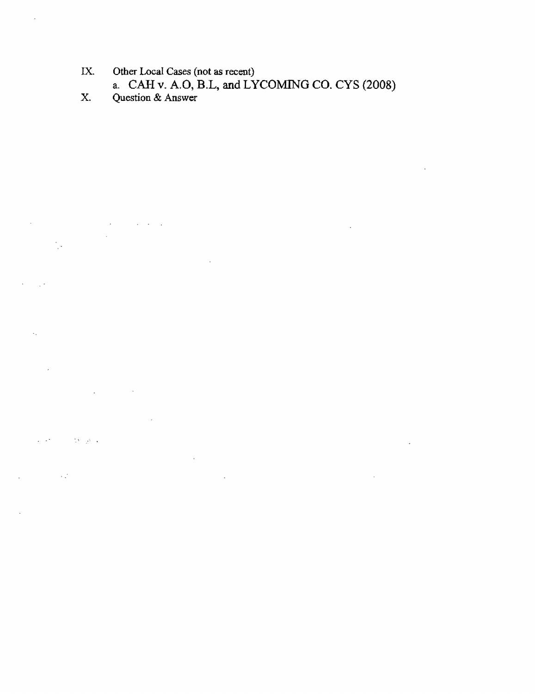IX. Other Local Cases (not as recent)

a. CAH v. A.O,  $B.L$ , and LYCOMING CO. CYS (2008)

 $\ddot{\phantom{a}}$ 

 $\sim 10^7$ 

 $\sim$   $\sim$ 

X. Question & Answer

 $\mathcal{L}(\mathbf{x})$  and  $\mathcal{L}(\mathbf{x})$  and  $\mathcal{L}(\mathbf{x})$ 

 $\mathcal{L}_{\text{max}}$  and  $\mathcal{L}_{\text{max}}$ 

أأراد والمراجع

 $\sim 10^{11}$ 

 $\label{eq:2.1} \mathcal{L}(\mathcal{L}^{\text{max}}_{\mathcal{L}}(\mathcal{L}^{\text{max}}_{\mathcal{L}}),\mathcal{L}^{\text{max}}_{\mathcal{L}^{\text{max}}_{\mathcal{L}}})$ 

 $\mathcal{L}^{\text{max}}_{\text{max}}$  and  $\mathcal{L}^{\text{max}}_{\text{max}}$ 

 $\bar{z}$ 

 $\overline{\phantom{a}}$ 

 $\sim$   $^{\circ}$ 

 $\bar{\epsilon}_1$ 

 $\sim 10^{-10}$ 

 $\chi^2/\sqrt{2}$ 

 $\sim 10^{11}$  k  $\tilde{\omega}^2$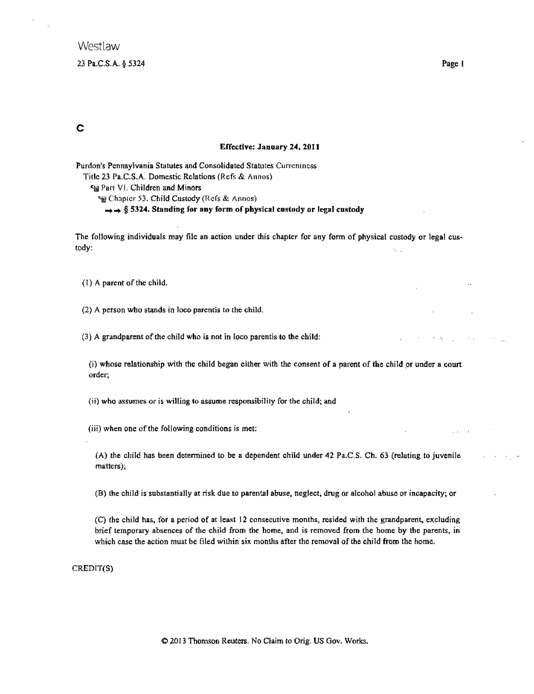23 Pa.C.S.A. § 5324

## c

### Effective: January 24, 2011

Purdon's Pennsylvania Statutes and Consolidated Statutes Currentness Title 23 Pa.C.S.A. Domestic Relations (Refs & Annos) **Ea Part VI. Children and Minors** <:f!e) Chapter 53. Child Custody (Refs & Annos) ........ § 5324. Standing **for** any **form** of physical custody **or** legal custody

The following individuals may file an action under this chapter for any form of physical custody or legal custody:

(I) A parent of the child.

(2) A person who stands in loco parenris to the child.

(3) A grandparent of the child who is not in loco parentis to the child:

(i) whose relationship with the child began either with the consent of a parent of the child or under a court order;

(ii) who assumes or is willing to assume responsibility for the child; and

(iii) when one of the following conditions is met:

(A) the child has been determined to be a dependent child under 42 Pa.C.S. Ch. 63 (relating to juvenile matters);

(B) the child is substantially at risk due to parental abuse, neglect, drug or alcohol abuse or incapacity; or

(C) the child has, for a period of at least 12 consecutive months, resided with the grandparent, excluding brief tempofary absences of the child from the home, and is removed from the home by the parents, in which case the action must be filed within six months after the removal of the child from the home.

CREDlT(S)

Page 1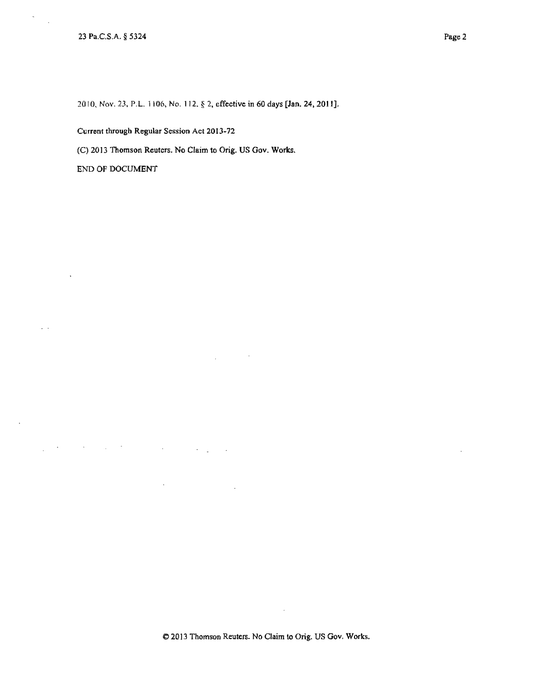$\ddot{\phantom{a}}$ 

2010, Nov. 23, P.L. 1106, No. 112. § 2, effective in 60 days [Jan. 24, 2011].

Current through Regular Session Act 2013-72

(C) 2013 Thomson Reuters. No Claim to Orig. US Gov. Works,

END OF DOCUMENT

 $\sim 10^{-10}$  km  $^{-1}$ 

 $\sim 10^{-11}$ 

 $\ddot{\phantom{1}}$ 

 $\sim$   $\sim$ 

 $\mathcal{L}^{\pm}$ 

 $\sim$ 

 $\ddot{\phantom{a}}$ 

 $\epsilon_{\rm max}$ 

 $\sim 10^{11}$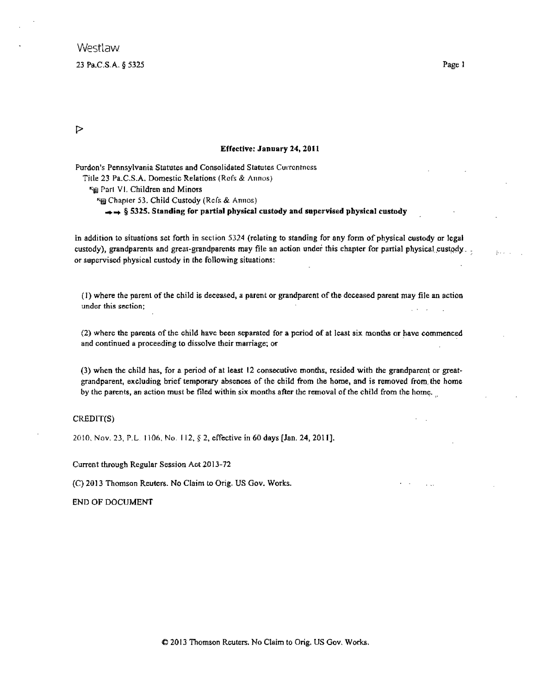$\triangleright$ 

### Effective: January 24, 2011

Purdon's Pennsylvania Statutes and Consolidated Statutes Currentness Title 23 Pa.C.S.A. Domestic Relations (Refs & Annos) **Eg Part VI. Children and Minors "B** Chapter 53. Child Custody (Refs & Annos) → § 5325. Standing for partial physical custody and supervised physical custody

In addition to situations set forth in seclion 5324 (relating to standing for any form of physical custody or legal custody), grandparents and great-grandparents may file an action under this chapter for partial physical custody. or supervised physical custody in the following situations:

(1) where the parent of the child is deceased, a parent or grandparent of the deceased parent may file an action under this section;

(2) where the parents of the child have been separated for a period of at least six months or have commenced and continued a proceeding to dissolve their marriage; or

(3) when the child has, for a period of at least 12 consecutive months, resided with the grandparent or greatgrandparent, excluding brief temporary absences of the child from the home, and is removed from, the home by the parents, an action must be filed within six months after the removal of the child from the home.

### CREDIT(S)

2010, Nov. 23, P.L. 1106, No. 112, § 2, effective in 60 days [Jan. 24, 2011].

Current through Regular Session Act 2013-72

(C) 2013 Thomson Reuters. No Claim to Orig. US Gov. Works.

END OF DOCUMENT

sis i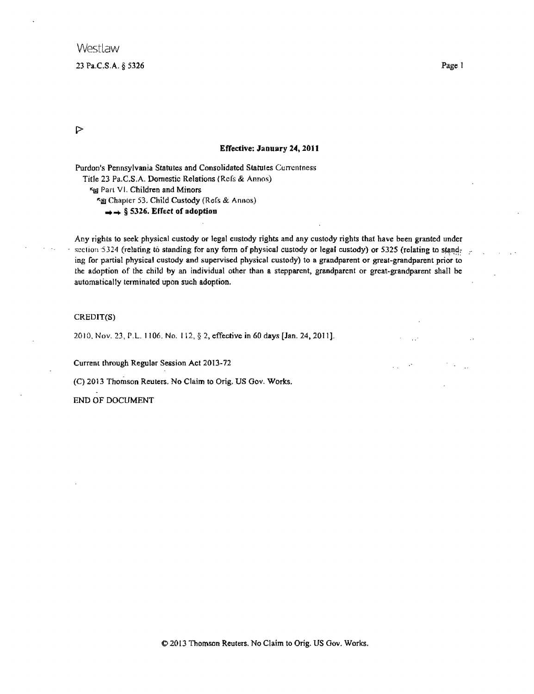### 23 Pa.C.S.A. § 5326

 $\triangleright$ 

### Effective: January 24. **2011**

Purdon's Pennsylvania Statutes and Consolidated Statutes Currentness Title 23 Pa.C.S.A. Domestic Relations (Refs & Annos) Kg Part VI. Children and Minors 1Ot.~ Chapter 53. Child Custody (Refs & Annos)  $\rightarrow$  § 5326. Effect of adoption

Any rights to seek physical custody or legal custody rights and any custody rights that have been granted under  $\cdot$  section 5324 (relating to standing for any form of physical custody or legal custody) or 5325 (relating to standing for partial physical custody and supervised physical custody) to a grandparent or great-grandparent prior to the adoption of the child by an individual other than a stepparent, grandparent or great-grandparent shall be automatically terminated upon such adoption.

### CREDlT(S)

2010. Nov. 23, P.L. 1106. No. 112, § 2, effective in 60 days [Jan. 24, 201 I}.

Current through Regular Session Act 2013-72

(C) 2013 Thomson Reuters. No Claim to Orig. US Gov. Works.

END OF DOCUMENT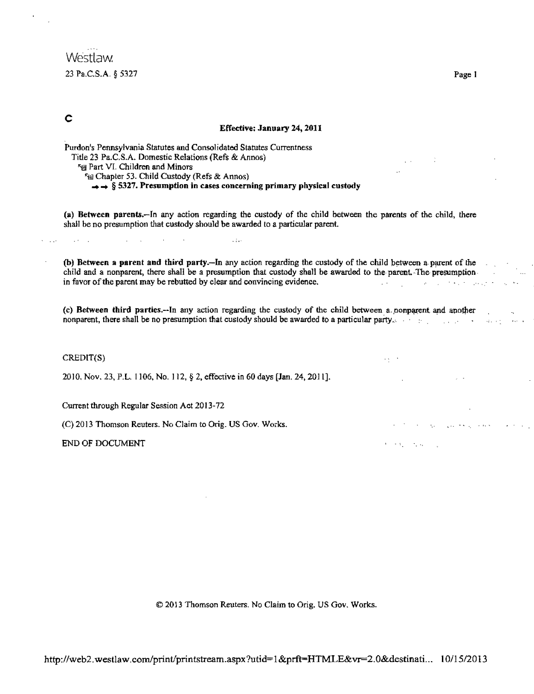## **Westlaw** 23 Pa.C.S.A. § 5327

## c

### Effective: January 24, 2011

Purdon's Pennsylvania Statutes and Consolidated Statutes Currentness Title 23 Pa.C.S.A. Domestic Relations (Refs & Annas) <sup>5</sup> Part VI. Children and Minors ~ Chapter 53. Child Custody (Refs & Annos)  $\rightarrow$  § 5327. Presumption in cases concerning primary physical custody

 $.11$ 

(a) Between parents.-In any action regarding the custody of the child between the parents of the child, there shall be no presumption that custody should be awarded to a particular parent.

(b) Between a parent and third party.-In any action regarding the custody of the child between a parent of the child and a nonparent, there shall be a presumption that custody shall be awarded to the parent. The presumption in favor of the parent may be rebutted by clear and convincing evidence. and the process of the company of the second second second second second second second second second second second second second second second second second second second second second second second second second second se

(c) Between third parties.--In any action regarding the custody of the child between a nonparent and another nonparent, there shall be no presumption that custody should be awarded to a particular party.

### CREDIT(S)

2010. Nov. 23, P.L. 1106, No. 112, § 2, effective in 60 days [Jan, 24, 2011].

Current through Regular Session Act 2013-72

(C) 2013 Thomson Reuters. No Claim to Orig. US Gov, Works.

END OF DOCUMENT

© 2013 Thomson Reuters. No Claim to Orig. US Gov. Works.

Page 1

 $\sim 10^{-11}$ 

ay in

 $\sim$ 

 $\label{eq:1} \mathbf{r}^{\dagger} \rightarrow \mathbf{r}_{\mathbf{k}}^{\dagger} \rightarrow \mathbf{r}_{\mathbf{k}}^{\dagger} \mathbf{r}_{\mathbf{k}}^{\dagger} \rightarrow \mathbf{r}_{\mathbf{k}}^{\dagger}$ 

 $\omega_{\rm c}$  ,  $\omega_{\rm c}$ 

والمتحاميات الحطاف وتحجمهن المرودات فالمتكانية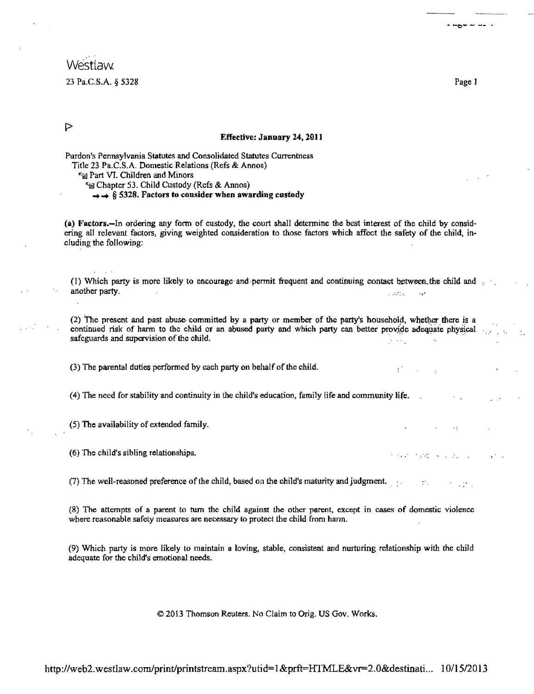## **Westlaw** 23 Pa.C.S.A. § 5328

Page 1

 $\mathfrak{g}^{(n)}$ 

ついとう はくしょうし

<sup>~</sup>-c-- -- ..

 $\triangleright$ 

### Effective: January 24, 2011

Purdon's Pennsylvania Statutes and Consolidated Statutes Currentness Title 23 Pa.C.S.A. Domestic Relations (Refs & Annas)  $\kappa_{\text{H}}$  Part VI. Children and Minors <sup>5</sup> Chapter 53. Child Custody (Refs & Annos)  $\rightarrow \rightarrow \$ § 5328. Factors to consider when awarding custody

(a) Factors.-In ordering any form of custody, the court shall determine the best interest of the child by considering all relevant factors, giving weighted consideration to those factors which affect the safety of the child, including the following:

(1) Which party is more likely to encourage- and ·permit frequent and continuing contact between. the child and **another party.** The contract of the contract of the contract of the contract of the contract of the contract of the contract of the contract of the contract of the contract of the contract of the contract of the contract

(2) The present and past abuse committed by a party or member of the party's household, whether there is a continued risk of harm to the child or an abused party and which party can better provide adequate physical safeguards and supervision of the child.

(3) The parental duties performed by each party on behalf of the child.

(4) The need for stability and continuity in the child's education, family life and community life.

(5) The availability of extended family.

(6) The child's sibling relationships.

(7) The well-reasoned preference of the child, based on the child's maturity and judgment.  $\mathcal{O}(\mathcal{C})$ 

(8) The attempts of a parent to tum the child against the other parent, except in cases of domestic violence where reasonable safety measures are necessary to protect the child from harm.

(9) Which party is more likely to maintain a loving, stable, consistent and nurturing relationship with the child adequate for the child's emotional needs.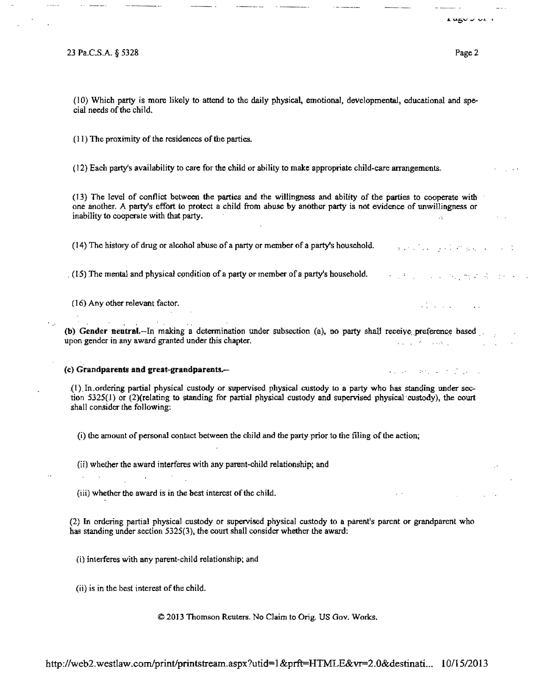23 Pa.C.S.A. § 5328 Page 2

Particularly of President

The common way to do the

 $\frac{1}{2}$  ,  $\frac{1}{2}$  ,  $\frac{1}{2}$  ,  $\frac{1}{2}$  ,  $\frac{1}{2}$  ,  $\frac{1}{2}$ 

Book of the Control of the

**LUGVU VI** 

(10) Which party is more likely to attend to the daily physical, emotional, developmental, educational and special needs of the child.

(11) The proximity of the residences of the parties.

(12) Each party's availability to care for the child or ability to make appropriate child-care arrangements.

(13) The level of conflict between the parties and the willingness and ability of the parties to cooperate with one another. A party's effort to protect a child from abuse by another party is not evidence of unwillingness or inability to cooperate with that party.

(14) The history of drug or alcohol abuse of a party or member of a party's household.

 $(15)$  The mental and physical condition of a party or member of a party's household.

(16) Any other relevant factor.

. . . . (b) Gender neutral.--In making a determination under subsection (a), no party shall receive preference based upon gender in any award granted under this chapter. **CONTRACTOR** 

(e) Grandparents and great-grandparents.-

 $(1)$  In. ordering partial physical custody or supervised physical custody to a party who has standing under section  $5325(1)$  or  $(2)$ (relating to standing for partial physical custody and supervised physical custody), the court shall consider the following:

(i) the amount of personal contact between the child and the party prior to the filing of the action;

(ii) whether the award interferes with any parent-child relationship; and

(iii) whether the award is in the best interest of the child.

(2) In ordering partial physical custody or supervised physical custody to a parent's parent or grandparent who has standing under section 5325(3), the court shall consider whether the award:

(i) interferes with any parent-child relationship; and

(ii) is in the best interest of the child.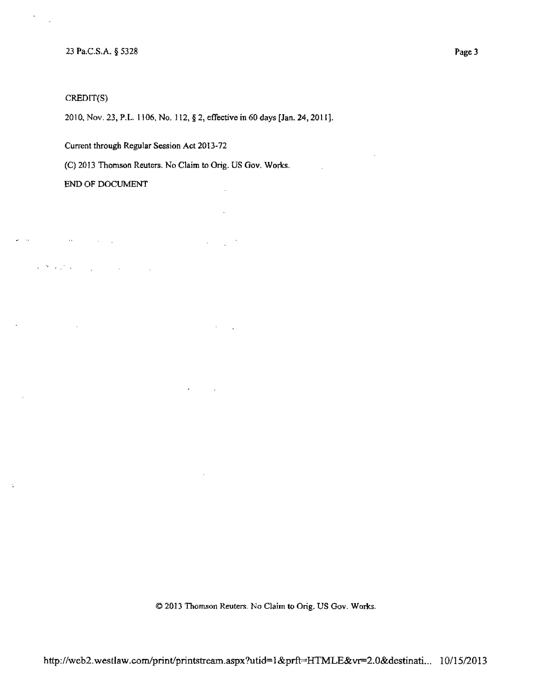### 23 Pa,C.S.A. § 5328

### CREDIT(S)

 $\omega = \sqrt{1}$ 

 $\overline{\phantom{a}}$ 

 $\ddot{\rm x}$ 

 $\sim 100$ 

2010. Nov. 23, P.L. 1106, No, ] 12, § 2, effective in 60 days [Jan. 24, 2011).

 $\overline{a}$ 

 $\mathbb{R}^2$ 

 $\Delta \sim 10^4$  $\bar{z}$ 

 $\Delta$ 

Current through Regular Session Act 2013-72

(C) 2013 Thomson Reuters. No Claim to Orig. US Gov. Works.

END OF DOCUMENT

 $\label{eq:reduced} \mathcal{L}(\mathcal{H},\mathcal{L},\mathcal{L}(\mathcal{G})) = \mathcal{L}(\mathcal{L}(\mathcal{L},\mathcal{L}(\mathcal{G}))) = \mathcal{L}(\mathcal{L}(\mathcal{G})))$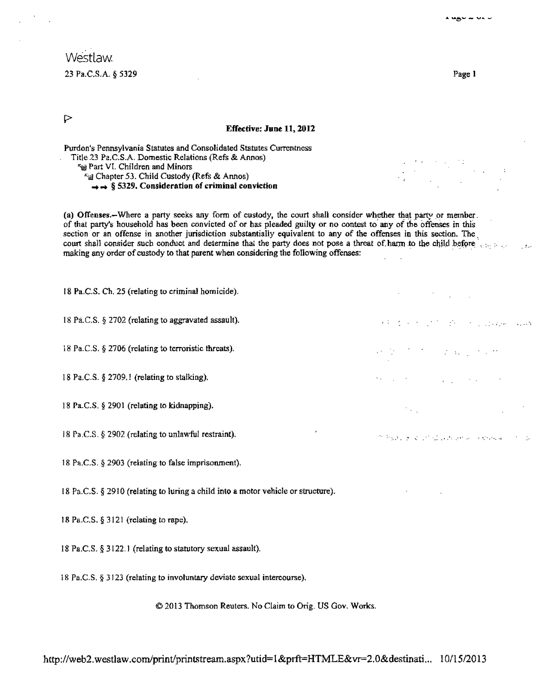## **Westlaw** 23 Pa.C.S.A. § 5329

 $\triangleright$ 

Page I

#### Effective: June 11, 2012

Purdon's Pennsylvania Statutes and Consolidated Statutes Currentness Title 23 Pa.C.S.A. Domestic Relations (Refs & Annos) **Example Part VI. Children and Minors** "Ii] Chapter 53. Child Custody (Refs & Annos)  $\rightarrow$   $\rightarrow$  § 5329. Consideration of criminal conviction

(a) Offenses.-Where a party seeks any form of custody, the court shall consider whether that party or member. of that party's household has been convicted of or has pleaded guilty or no contest to any of the offenses in this section or an offense in another jurisdiction substantially equivalent to any of the offenses in this section. The court shall consider such conduct and determine that the party does not pose a threat of harm to the child before making any order of custody to that parent when considering the following offenses:

18 Pa.C.S. Ch. 25 (relating to criminal homicide). 18 Pa.C.S. § 2702 (relating to aggravated assault).  $\mathcal{L} = \{1, 2, \ldots, n\}$ 18 Pa.C.S. § 2706 (relating to terroristic threats).  $\hat{Z}$  and  $\hat{Z}$ 18 Pa.C.S. § 2709.! (relating to stalking).  $\mathcal{L}_{\text{max}}$  , where  $\mathcal{L}_{\text{max}}$ 18 Pa.C.S. § 2901 (relating to kidnapping). 18 Pa.C.S. § 2902 (relating to unlawful restraint). . ·,,··.'.,\_t 18 Pa.C.S. § 2903 (relating to false imprisonment). 18 Pa.C.S. § 2910 (relating to luring a child into a motor vehicle or structure).

18 Pa.C.S. § 3121 (relating to rape).

18 Pa.C.S. § 3122. J (relating to statutory sexual assault).

l8 Pa.C.S. § 3123 (relating to involuntary deviate sexual intercourse).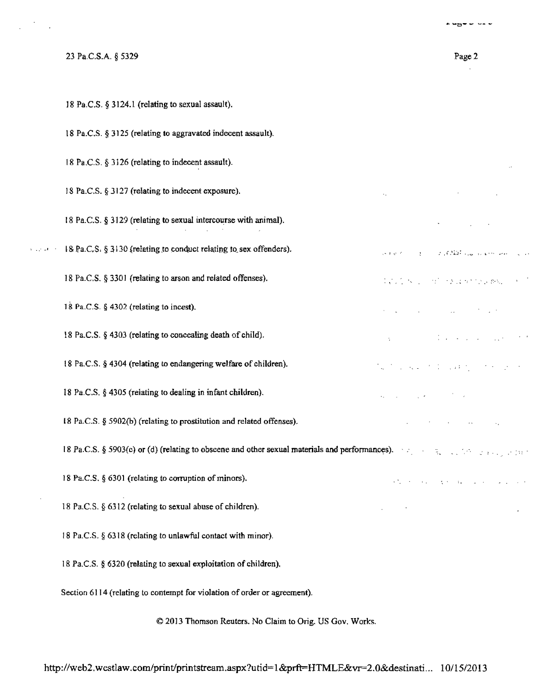|                    | 23 Pa.C.S.A. § 5329                                                                                                               | Page 2                                                                                                                                                                                                                                                                                                                                                                                                                          |
|--------------------|-----------------------------------------------------------------------------------------------------------------------------------|---------------------------------------------------------------------------------------------------------------------------------------------------------------------------------------------------------------------------------------------------------------------------------------------------------------------------------------------------------------------------------------------------------------------------------|
|                    | 18 Pa.C.S. § 3124.1 (relating to sexual assault).                                                                                 |                                                                                                                                                                                                                                                                                                                                                                                                                                 |
|                    | 18 Pa.C.S. § 3125 (relating to aggravated indecent assault).                                                                      |                                                                                                                                                                                                                                                                                                                                                                                                                                 |
|                    | 18 Pa.C.S. § 3126 (relating to indecent assault).                                                                                 |                                                                                                                                                                                                                                                                                                                                                                                                                                 |
|                    | 18 Pa.C.S. § 3127 (relating to indecent exposure).                                                                                | $\epsilon_{\rm{eff}}$ .                                                                                                                                                                                                                                                                                                                                                                                                         |
|                    | 18 Pa.C.S. § 3129 (relating to sexual intercourse with animal).                                                                   | <b>Report Follows</b>                                                                                                                                                                                                                                                                                                                                                                                                           |
| الحاد الأساخي والد | 18 Pa.C.S. § 3130 (relating to conduct relating to sex offenders).                                                                | sale of the state of the California and the sales of the                                                                                                                                                                                                                                                                                                                                                                        |
|                    | 18 Pa.C.S. § 3301 (relating to arson and related offenses).                                                                       | はこく ダインガン そば かたいあの アメリカ                                                                                                                                                                                                                                                                                                                                                                                                         |
|                    | 18 Pa.C.S. $§$ 4302 (relating to incest).                                                                                         | state of the company of the company of                                                                                                                                                                                                                                                                                                                                                                                          |
|                    | 18 Pa.C.S. § 4303 (relating to concealing death of child).                                                                        | $\mathcal{A}^{\mathcal{A}}$ and $\mathcal{A}^{\mathcal{A}}$ are the set of the set of the set of the set of the set of the set of the set of the set of the set of the set of the set of the set of the set of the set of the set of the set of the s                                                                                                                                                                           |
|                    | 18 Pa.C.S. § 4304 (relating to endangering welfare of children).                                                                  | the transport of the part of the con-                                                                                                                                                                                                                                                                                                                                                                                           |
|                    | 18 Pa.C.S. § 4305 (relating to dealing in infant children).                                                                       | エーエー くいちょう アール                                                                                                                                                                                                                                                                                                                                                                                                                  |
|                    | 18 Pa.C.S. § 5902(b) (relating to prostitution and related offenses).                                                             | and the control of the control of the                                                                                                                                                                                                                                                                                                                                                                                           |
|                    | 18 Pa.C.S. § 5903(c) or (d) (relating to obscene and other sexual materials and performances). The contraction of the contraction |                                                                                                                                                                                                                                                                                                                                                                                                                                 |
|                    | 18 Pa.C.S. § 6301 (relating to corruption of minors).                                                                             | $\mathcal{A}^{(n)}_{\mathcal{A}}(\mathcal{A}^{(n)}_{\mathcal{A}}(\mathcal{A}^{(n)}_{\mathcal{A}}(\mathcal{A}^{(n)}_{\mathcal{A}}(\mathcal{A}^{(n)}_{\mathcal{A}}(\mathcal{A}^{(n)}_{\mathcal{A}}(\mathcal{A}^{(n)}_{\mathcal{A}}(\mathcal{A}^{(n)}_{\mathcal{A}}(\mathcal{A}^{(n)}_{\mathcal{A}}(\mathcal{A}^{(n)}_{\mathcal{A}}(\mathcal{A}^{(n)}_{\mathcal{A}}(\mathcal{A}^{(n)}_{\mathcal{A}}(\mathcal{A}^{(n)}_{\mathcal{A$ |
|                    | 18 Pa.C.S. § 6312 (relating to sexual abuse of children).                                                                         |                                                                                                                                                                                                                                                                                                                                                                                                                                 |
|                    | 18 Pa.C.S. $\S$ 6318 (relating to unlawful contact with minor).                                                                   |                                                                                                                                                                                                                                                                                                                                                                                                                                 |
|                    | 18 Pa.C.S. § 6320 (relating to sexual exploitation of children).                                                                  |                                                                                                                                                                                                                                                                                                                                                                                                                                 |
|                    | Section 6114 (relating to contempt for violation of order or agreement).                                                          |                                                                                                                                                                                                                                                                                                                                                                                                                                 |
|                    |                                                                                                                                   |                                                                                                                                                                                                                                                                                                                                                                                                                                 |

 $\frac{1}{2} \left( \frac{1}{2} \right)^2 \left( \frac{1}{2} \right)^2$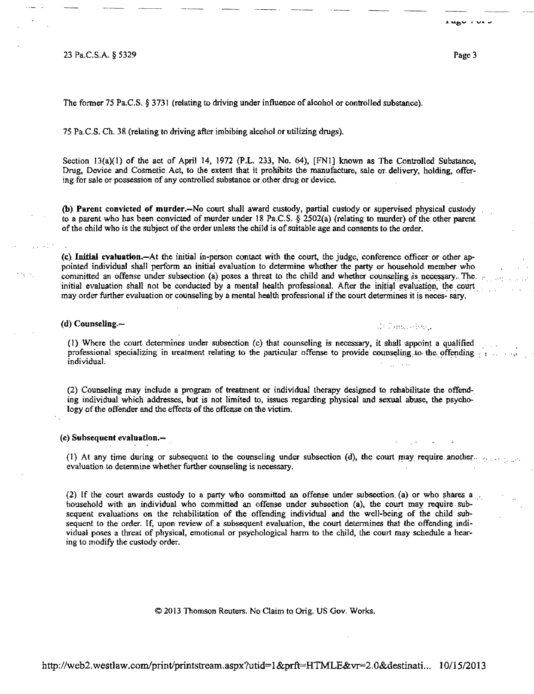#### 23 Pa.C.S.A. § 5329 Page 3

۰.

','

The former 7S Pa.C.S. § 3731 (relating to driving under influence of alcohol or controlled substance).

75 Pa.C,S. Ch. 38 (relating to driving after imbibing alcohol or utilizing drugs).

Section 13(a)(1) of the act of April 14, 1972 (P.L. 233, No. 64), [FN1] known as The Controlled Substance, Drug, Device and Cosmetic Act, to the extent that it prohibits the manufacture, sale or deiivery, holding, offering for sale or possession of any controlled substance or other drug or device.

(b) Parent convicted of murder.-No court shall award custody, partial custody or supervised physical custody to a parent who has been convicted of murder under 18 Pa.C.S. § 2502(a) (relating to murder) of the other parent of the child who is the subject of the order unless the chi1d is of suitahle age and consents to the order.

(c). Initial evaluation.-At the initial in-person contact with the court, the judge, conference officer' or other appointed individual shall perform an initiai evaluation to determine whether the party or household member who committed an offense under subsection (a) poses a threat to the child and whether counseling is necessary. The. initial evaluation shall not be conducted by a mental health professional. After the initial evaluation, the court may order further evaluation or counseling by a mental health professional if the court determines it is neces- sary.

### (d) Counseling.- . -':-::'" ,.-.,.,

(I) Where the court determines under subsection (c) that counseling is necessary, it shall :appoint a qualified professional specializing in treatment relating to the particular offense to provide counseling to the offending individual.

(2) Counseling may include a program of treatment or individual therapy designed to rehabilitate the offending individual which addresses, but is not limited to, issues regarding physical and sexual abuse, the psychology of the offender and the effects of the offense on the victim.

### (e) Subsequent evaluation.-

(1) At any time during or subsequent to the counseling under subsection (d), the court  $\max$  require another... evaluation to determine whether further counseling is necessary.

(2) If the court awards custody to a party who committed an offense under subsection, (a) or who shares a. household with an individual who committed an offense under subsection (a), the court may require. subsequent evaluations on the rehabilitation of the offending individual and the well-being of the child subsequent to the order. If, upon review of a subsequent evaluation, the court determines that the offending individual poses a threat of physical. emotional or psychological hann to the child, the court may schedule a hearing to modify the custody order.

### © 2013 Thomson Reuters. No Claim to Orig. US Gov. Works.

http://web2.westlaw.com/print/printstream.aspx?utid=1&prft=HTMLE&vr=2.0&destinati... 10/15/2013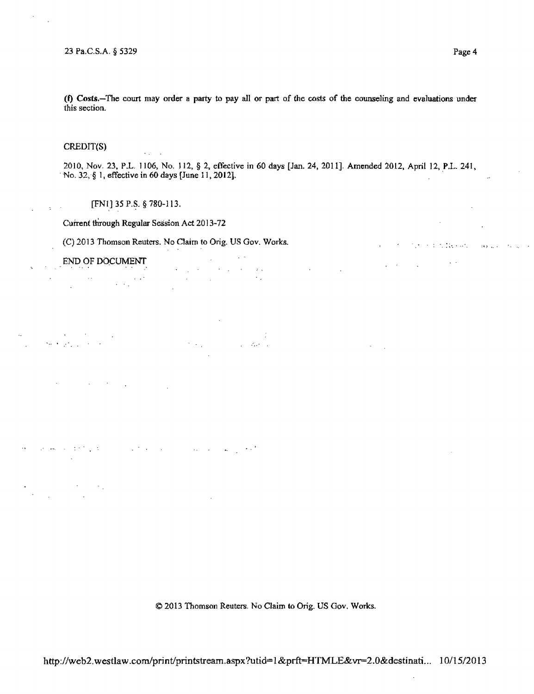(1) *Costs.-*The court may order a party to pay all or part of the costs of the counseling and evaluations under this section.

### CREDIT(S)

2010, Nov. 23, P.L. 1106, No. 112, § 2, effective in 60 days [Jan. 24, 2011]. Amended 2012, April 12, P.L. 241, No. 32,§ 1, effective in 60 days [June 11,2012]. .

 $\sim 10^{-10}$ 

 $\mathcal{L}_{\mathrm{L}}$ 

 $\epsilon = \sqrt{1-\epsilon}$ 

 $\mathcal{O}(\log \frac{1}{\log n})$ 

 $\sim 10^{11}$  km s  $^{-1}$  km s  $^{-1}$  <br>and  $^{-1}$ 

 $\sim$   $\sim$ 

 $\tau_{\rm eff}$ 

 $\mathcal{L}=\mathcal{L}_{\text{eff}}\times\mathcal{L}_{\text{eff}}\times\mathcal{L}_{\text{eff}}$ 

[FN1] 35 P.S. § 780-113.

 $\sim 10^{-11}$ 

Current through Regular Session Act 2013-72

(C) 2013 Thomson Reuters. No Claim to Orig, US Gov. Works.  $\mathbf{r} = \mathbf{r} \cdot \mathbf{r} + \mathbf{r} \cdot \mathbf{r} + \mathbf{r} \cdot \mathbf{r} + \mathbf{r} \cdot \mathbf{r} + \mathbf{r} \cdot \mathbf{r} + \mathbf{r} \cdot \mathbf{r} + \mathbf{r} \cdot \mathbf{r} + \mathbf{r} \cdot \mathbf{r} + \mathbf{r} \cdot \mathbf{r} + \mathbf{r} \cdot \mathbf{r} + \mathbf{$ 

END OF DOCUMENT

 $\sim 10^{11}$  km s  $^{-1}$ 

 $\langle \cdot \rangle_{\rm s}$ 

 $\sim 10^{11}$ 

 $\sim$ 

 $\mathcal{L}(\mathcal{L}^{\text{max}})$  , where  $\mathcal{L}(\mathcal{L}^{\text{max}})$ 

 $\bar{\mathbf{x}}$ 

 $\sim$ Satisfy  $\frac{1}{2} \mathcal{F}_{\mathbf{1},\mathbf{1},\mathbf{2}}^{\mathbf{1}}$  , where  $\mathcal{F}_{\mathbf{1}}$ 

 $\mathcal{Q}^{\mathcal{A}}$  , and  $\mathcal{Q}^{\mathcal{A}}$  ,  $\mathcal{Q}^{\mathcal{A}}$  ,  $\mathcal{Q}^{\mathcal{A}}$  ,  $\mathcal{Q}^{\mathcal{A}}$  ,  $\mathcal{Q}^{\mathcal{A}}$  $\sim$ 

© 2013 Thomson Reuters. No Claim to Orig. US Gov. Works.

 $\omega_{\rm c} = 2\pi$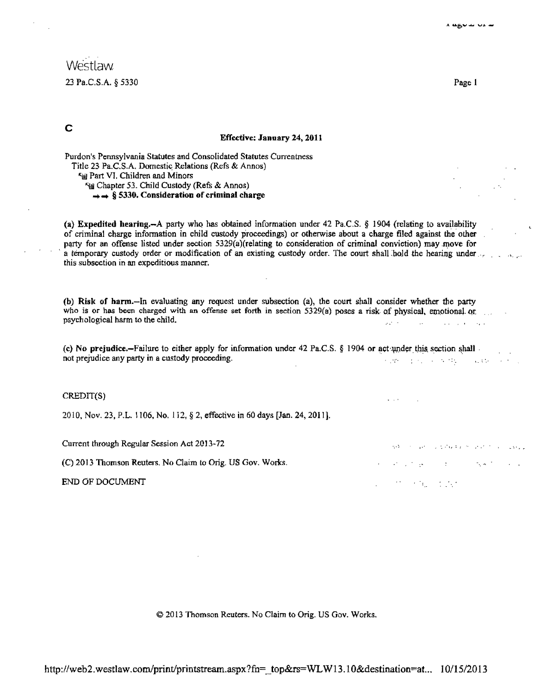## **Westlaw** 23 Pa.C.S.A. § 5330

Page I

### c

Effective: January 24, 2011

Purdon's Pennsylvania Statutes and Consolidated Statutes Currentness Title 23 Pa.C.S.A. Domestic Relations (Refs  $\&$  Annos) **"is Part VI. Children and Minors** I'iii Chapter 53. Child Custody (Refs & Annos)  $\rightarrow$   $\rightarrow$  § 5330. Consideration of criminal charge

(a) Expedited hearing.-A party who has obtained information under 42 Pa.C.S.  $\S$  1904 (relating to availability of criminal charge information in child custody proceedings) or otherwise about a charge filed against the other party for an offense listed under section 5329(a)(relating to consideration of criminal conviction) may move for a temporary custody order or modification of an existing custody order. The court shall hold the hearing under this subsection in an expeditious manner.

(b) Risk of hann.-In evaluating any request under subsection (a), the court shall consider whether the party who is or has been charged with an offense set forth in section 5329(a) poses a risk of physical, emotional or psychological harm to the child. الفارقي **Carl Carl County** 

(c) No prejudice.—Failure to either apply for information under 42 Pa.C.S. § 1904 or act under this section shall not prejudice any party in a custody proceeding.

 $\mathcal{L}^{\mathcal{L}}$  ,  $\mathcal{L}^{\mathcal{L}}$ 

### CREDIT(S)

2010. Nov. 23, P.L. 1106, No. 112, § 2, effective in 60 days [Jan. 24,2011).

Current through Regular Session Act 2013-72 -, and the set of the second second service of the set of the set of the set of the set of the set of the set of the set of the set of the set of the set of the set of the set of  $\label{eq:2.1} \mathcal{L}^{\alpha}(\mathcal{L}^{\alpha})\mathcal{L}^{\alpha}(\mathbf{g},\mathbf{g})=\mathcal{L}^{\alpha}(\mathcal{L}^{\alpha})\mathcal{L}^{\alpha}(\mathcal{L}^{\alpha})\mathcal{L}^{\alpha}(\mathcal{L}^{\alpha})$ (C) 2013 Thomson Reuters. No Claim to Orig. US Gov. Works. **アンテないかな** END OF DOCUMENT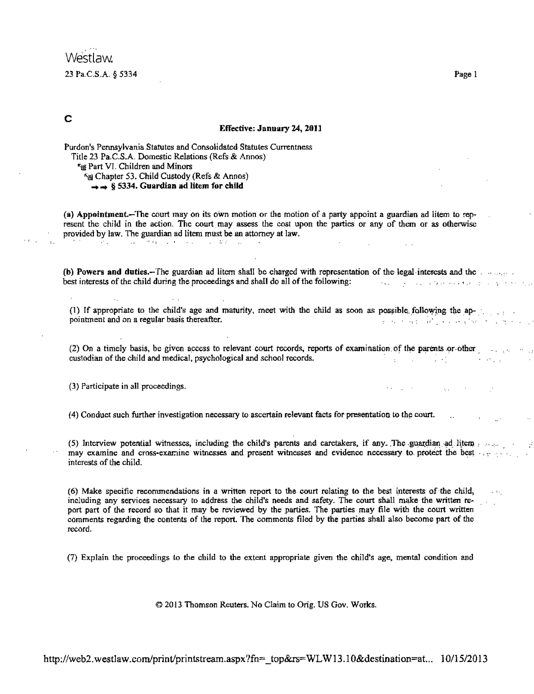### c

#### Effective: January 24, 2011

Purdon's Pennsylvania Statutes and Consolidated Statutes Currentness Title 23 Pa.C.S.A. Domestic Relations (Refs & Annos) "j§ Part VI. Children and Minors <sup>6</sup> Chapter 53. Child Custody (Refs & Annos)  $\rightarrow \rightarrow \$  § 5334. Guardian ad litem for child

(a) Appointment.-The court may on its own motion or the motion of a party appoint a guardian ad litem to represent the child in the action. The court may assess the cost upon the parties or any of them or as otherwise provided by law. The guardian ad litem must be an attorney at law.

(b) Powers and duties.-The guardian ad litem shall be charged with representation of the legal interests and the ......... best interests of the child during the proceedings and shall do all of the following:

(1) If appropriate to the child's age and maturity, meet with the child as soon as possible, following the  $ap-$  . pointment and on a regular basis thereafter.  $\mathbf{r} = \mathbf{r} \cdot \mathbf{r} + \mathbf{r} \cdot \mathbf{r} + \mathbf{r} \cdot \mathbf{r} + \mathbf{r} \cdot \mathbf{r} + \mathbf{r} \cdot \mathbf{r} + \mathbf{r} \cdot \mathbf{r} + \mathbf{r} \cdot \mathbf{r} + \mathbf{r} \cdot \mathbf{r} + \mathbf{r} \cdot \mathbf{r} + \mathbf{r} \cdot \mathbf{r} + \mathbf{r} \cdot \mathbf{r} + \mathbf$ 

(2) On a timely basis, be given access to relevant court records, reports of examination of the parents or other custodian of the child and medical, psychological and school records. . .

(3) Participate in all proceedings.

(4) Conduct such further investigation necessary to ascertain relevant facts for presentation to the court.

(5) Interview potential witnesses, including the child's parents and caretakers, if any ...,The guardian ad litem  $\cdots$ may examine and cross-examine witnesses and present witnesses and evidence necessary to protect the best  $, \, \cdot, \, \cdot$ interests of the child.

(6) Make specific recommendations in a written report to the court relating to the best interests of the child, including any services necessary to address the child's needs and safety. The court shall make the written report part of the record so that it may be reviewed by the parties. The parties may file with the court written comments regarding the contents of the report. The comments filed by the parties shall also become part of the record.

(7) Explain the proceedings to the child to the extent appropriate given the child's age, mental condition and

© 2013 Thomson Reuters. No Claim to Orig. US Gov. Works.

Page 1

 $\bar{\xi}$  .

 $\omega$  and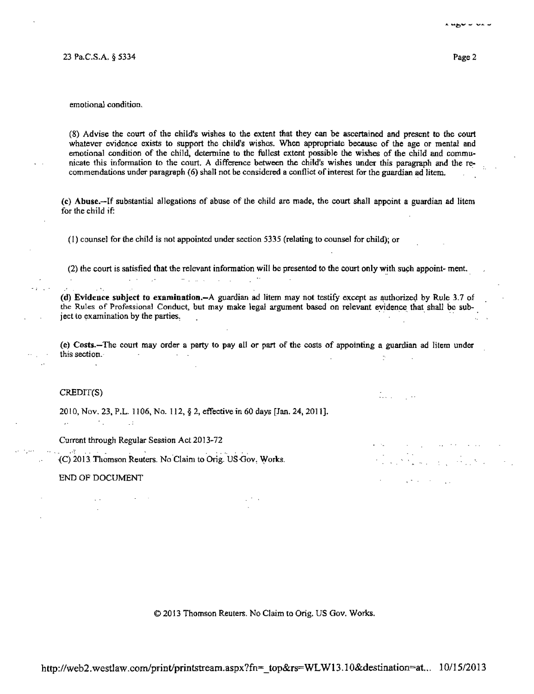ia<br>Kanada (1991-1991)

**Contract Contract** 

#### emotional condition.

(8) Advise the court of the child's wishes to the extent that they can be ascertained and present to the court whatever evidence exists to support the child's wishes. When appropriate because of the age or mental and emotional condition of the child, determine to the fullest extent possible the wishes of the child and communicate this information to the court. A difference between the child's wishes under this paragraph and the recommendations under paragraph (6) shall not be considered a conflict of interest for the guardian ad litem.

(c) Ahuse.-If substantial allegations of abuse of the child are made, the court shall appoint a guardian ad litem for the child if:

(I) counsel for the child is not appointed under section 5335 (relating to counsel for child); or

(2) the court is satisfied that the relevant information will be presented to the court only with such appoint- ment ..

(d) Evidence subject to examination.-A guardian ad litem may not testify except as authorized by Rule 3.7 of the Rules of Professional Conduct, but may make legal argument based on relevant evidence that shall be sub-<br>ject to examination by the parties,

(e) Costs.-The court may order a party to pay all or part of the costs of appointing a guardian ad litem under this section.·

### CREDIT(S)

2010, Nov. 23, P.L. 1106, No. 112, § 2, effective in 60 days [Jan. 24. 2011J.  $\sim 2.1$  and  $\sim 1.2$ 

Current through Regular Session Act 2013·72

المستحر المستعمل والمستحدث

(C) 2013. Thomson Reuters. No Claim to Orig. US Gov, Works.

#### END OF DOCUMENT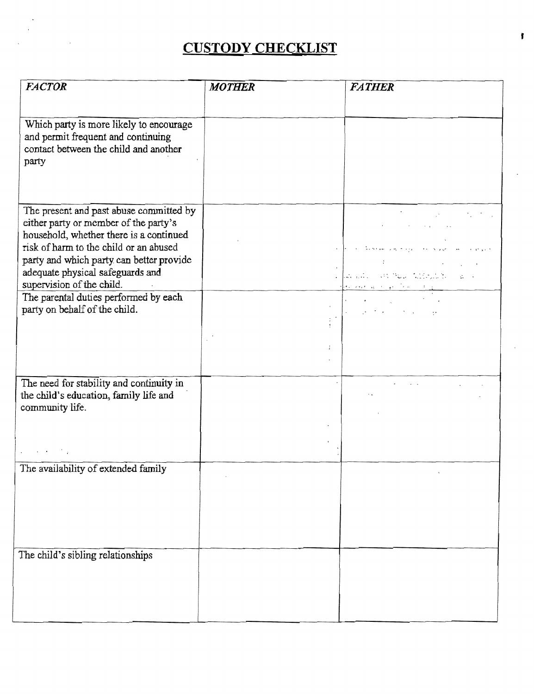# **CUSTODY CHECKLIST**

| <b>FACTOR</b>                                                                                                     | <b>MOTHER</b> | <b>FATHER</b>                                                                                                                     |
|-------------------------------------------------------------------------------------------------------------------|---------------|-----------------------------------------------------------------------------------------------------------------------------------|
|                                                                                                                   |               |                                                                                                                                   |
|                                                                                                                   |               |                                                                                                                                   |
| Which party is more likely to encourage                                                                           |               |                                                                                                                                   |
| and permit frequent and continuing                                                                                |               |                                                                                                                                   |
| contact between the child and another                                                                             |               |                                                                                                                                   |
| party                                                                                                             |               |                                                                                                                                   |
|                                                                                                                   |               |                                                                                                                                   |
|                                                                                                                   |               |                                                                                                                                   |
| The present and past abuse committed by                                                                           |               |                                                                                                                                   |
| either party or member of the party's                                                                             |               | $\mathcal{A}^{\mathcal{A}}$ and $\mathcal{A}^{\mathcal{A}}$ are the simple points of the simple state $\mathcal{A}^{\mathcal{A}}$ |
| household, whether there is a continued                                                                           |               |                                                                                                                                   |
| risk of harm to the child or an abused                                                                            |               |                                                                                                                                   |
| party and which party can better provide                                                                          |               | of the company of the company of                                                                                                  |
| adequate physical safeguards and                                                                                  |               | a an ang ang mga mata                                                                                                             |
| supervision of the child.                                                                                         |               |                                                                                                                                   |
| The parental duties performed by each                                                                             |               | <u>den energie en de staat de groepen.</u><br>De verkenings                                                                       |
| party on behalf of the child.                                                                                     |               |                                                                                                                                   |
|                                                                                                                   | ÷.            |                                                                                                                                   |
|                                                                                                                   |               |                                                                                                                                   |
|                                                                                                                   | ÷             |                                                                                                                                   |
|                                                                                                                   |               |                                                                                                                                   |
|                                                                                                                   |               |                                                                                                                                   |
| The need for stability and continuity in<br>the child's education, family life and                                |               |                                                                                                                                   |
| community life.                                                                                                   |               |                                                                                                                                   |
|                                                                                                                   |               |                                                                                                                                   |
|                                                                                                                   |               |                                                                                                                                   |
|                                                                                                                   |               |                                                                                                                                   |
| $\mathcal{L}^{\text{max}}(\mathcal{L}^{\text{max}})$ , where $\mathcal{L}^{\text{max}}(\mathcal{L}^{\text{max}})$ |               |                                                                                                                                   |
| The availability of extended family                                                                               |               |                                                                                                                                   |
|                                                                                                                   |               |                                                                                                                                   |
|                                                                                                                   |               |                                                                                                                                   |
|                                                                                                                   |               |                                                                                                                                   |
|                                                                                                                   |               |                                                                                                                                   |
|                                                                                                                   |               |                                                                                                                                   |
| The child's sibling relationships                                                                                 |               |                                                                                                                                   |
|                                                                                                                   |               |                                                                                                                                   |
|                                                                                                                   |               |                                                                                                                                   |
|                                                                                                                   |               |                                                                                                                                   |
|                                                                                                                   |               |                                                                                                                                   |
|                                                                                                                   |               |                                                                                                                                   |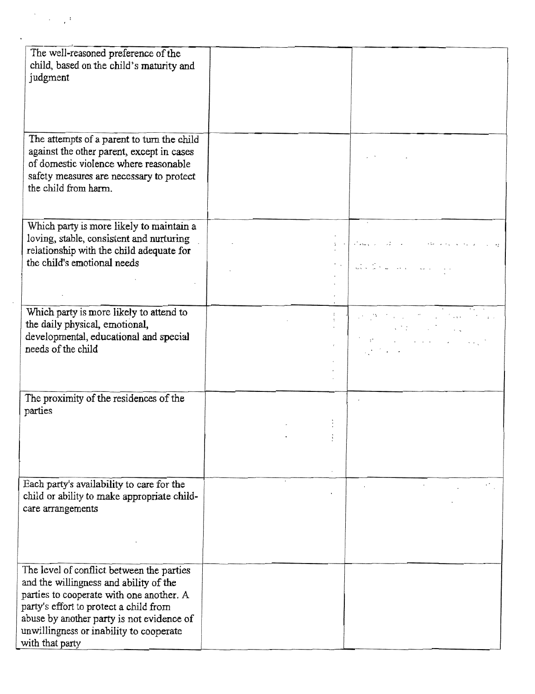| The well-reasoned preference of the<br>child, based on the child's maturity and<br>judgment                                                                                                                                                                                          |  |                                                                                                                                                                                                                                                                                                                                                                                                                                                                                                                                                                                                                                                                                                                      |
|--------------------------------------------------------------------------------------------------------------------------------------------------------------------------------------------------------------------------------------------------------------------------------------|--|----------------------------------------------------------------------------------------------------------------------------------------------------------------------------------------------------------------------------------------------------------------------------------------------------------------------------------------------------------------------------------------------------------------------------------------------------------------------------------------------------------------------------------------------------------------------------------------------------------------------------------------------------------------------------------------------------------------------|
| The attempts of a parent to turn the child<br>against the other parent, except in cases<br>of domestic violence where reasonable<br>safety measures are necessary to protect<br>the child from harm.                                                                                 |  |                                                                                                                                                                                                                                                                                                                                                                                                                                                                                                                                                                                                                                                                                                                      |
| Which party is more likely to maintain a<br>loving, stable, consistent and nurturing<br>relationship with the child adequate for<br>the child's emotional needs                                                                                                                      |  | الواكية الفارق فالمقعان المتأمل الأقرار الركاب فقطائن<br>and the services                                                                                                                                                                                                                                                                                                                                                                                                                                                                                                                                                                                                                                            |
| Which party is more likely to attend to<br>the daily physical, emotional,<br>developmental, educational and special<br>needs of the child                                                                                                                                            |  | September 2003 Commercial<br>$\label{eq:2.1} \sqrt{2} \int_{\mathbb{R}^3} \left  \frac{1}{\sqrt{2}} \right  \, \mathrm{d} \left  \frac{1}{\sqrt{2}} \right  \, \mathrm{d} \left  \frac{1}{\sqrt{2}} \right  \, \mathrm{d} \left  \frac{1}{\sqrt{2}} \right  \, \mathrm{d} \left  \frac{1}{\sqrt{2}} \right  \, \mathrm{d} \left  \frac{1}{\sqrt{2}} \right  \, \mathrm{d} \left  \frac{1}{\sqrt{2}} \right  \, \mathrm{d} \left  \frac{1}{\sqrt{2}} \right  \, \mathrm{d} \left  \frac{1}{\sqrt$<br>$\label{eq:2} \mathcal{L}^{\mathcal{A}}(\mathbf{r}) = \mathcal{L}^{\mathcal{A}}(\mathbf{r}) \mathcal{L}^{\mathcal{A}}(\mathbf{r}) = \mathcal{L}^{\mathcal{A}}(\mathbf{r}) \mathcal{L}^{\mathcal{A}}(\mathbf{r})$ |
| The proximity of the residences of the<br>parties                                                                                                                                                                                                                                    |  |                                                                                                                                                                                                                                                                                                                                                                                                                                                                                                                                                                                                                                                                                                                      |
| Each party's availability to care for the<br>child or ability to make appropriate child-<br>care arrangements                                                                                                                                                                        |  |                                                                                                                                                                                                                                                                                                                                                                                                                                                                                                                                                                                                                                                                                                                      |
| The level of conflict between the parties<br>and the willingness and ability of the<br>parties to cooperate with one another. A<br>party's effort to protect a child from<br>abuse by another party is not evidence of<br>unwillingness or inability to cooperate<br>with that party |  |                                                                                                                                                                                                                                                                                                                                                                                                                                                                                                                                                                                                                                                                                                                      |

 $\sum_{i=1}^n \frac{1}{i!} \sum_{j=1}^n \frac{1}{j!} \frac{1}{j!}$